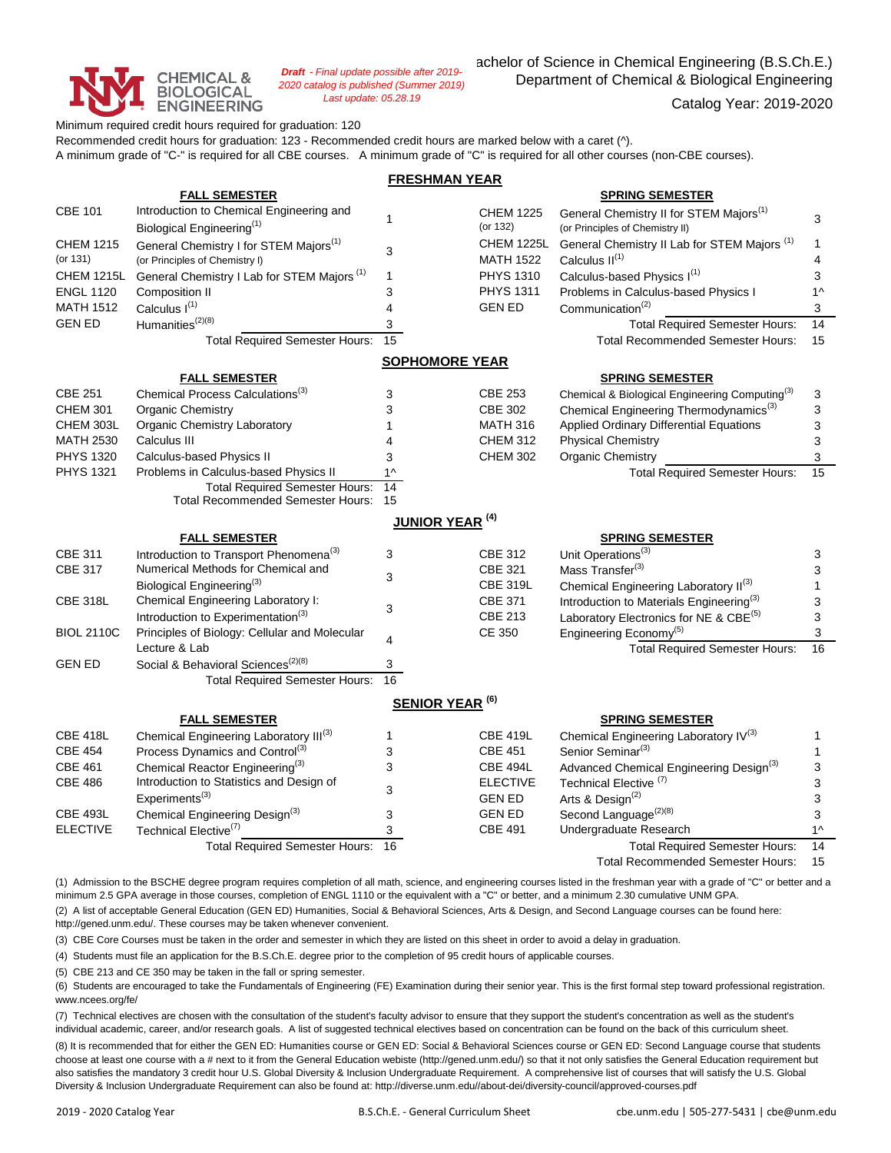

*Draft - Final update possible after 2019- 2020 catalog is published (Summer 2019) Last update: 05.28.19*

achelor of Science in Chemical Engineering (B.S.Ch.E.) Department of Chemical & Biological Engineering

Catalog Year: 2019-2020

Minimum required credit hours required for graduation: 120 Recommended credit hours for graduation: 123 - Recommended credit hours are marked below with a caret (^). A minimum grade of "C-" is required for all CBE courses. A minimum grade of "C" is required for all other courses (non-CBE courses).

| <b>FRESHMAN YEAR</b>         |                                                                                      |                                  |                                       |                                                                                |              |  |  |  |  |  |  |
|------------------------------|--------------------------------------------------------------------------------------|----------------------------------|---------------------------------------|--------------------------------------------------------------------------------|--------------|--|--|--|--|--|--|
|                              | <b>FALL SEMESTER</b>                                                                 |                                  |                                       | <b>SPRING SEMESTER</b>                                                         |              |  |  |  |  |  |  |
| <b>CBE 101</b>               | Introduction to Chemical Engineering and                                             |                                  | <b>CHEM 1225</b>                      | General Chemistry II for STEM Majors <sup>(1)</sup>                            |              |  |  |  |  |  |  |
|                              | Biological Engineering <sup>(1)</sup>                                                | $\mathbf{1}$                     | (or 132)                              | (or Principles of Chemistry II)                                                | 3            |  |  |  |  |  |  |
| <b>CHEM 1215</b><br>(or 131) | General Chemistry I for STEM Majors <sup>(1)</sup><br>(or Principles of Chemistry I) | 3                                | <b>CHEM 1225L</b><br><b>MATH 1522</b> | General Chemistry II Lab for STEM Majors <sup>(1)</sup><br>Calculus $II^{(1)}$ | 1<br>4       |  |  |  |  |  |  |
| <b>CHEM 1215L</b>            | General Chemistry I Lab for STEM Majors <sup>(1)</sup>                               | $\mathbf{1}$                     | <b>PHYS 1310</b>                      | Calculus-based Physics I(1)                                                    | 3            |  |  |  |  |  |  |
| <b>ENGL 1120</b>             | Composition II                                                                       | 3                                | <b>PHYS 1311</b>                      | Problems in Calculus-based Physics I                                           | $1^{\wedge}$ |  |  |  |  |  |  |
| <b>MATH 1512</b>             | Calculus I <sup>(1)</sup>                                                            | 4                                | <b>GEN ED</b>                         | Communication <sup>(2)</sup>                                                   | 3            |  |  |  |  |  |  |
| <b>GEN ED</b>                | Humanities <sup>(2)(8)</sup>                                                         | 3                                |                                       | <b>Total Required Semester Hours:</b>                                          | 14           |  |  |  |  |  |  |
|                              | <b>Total Required Semester Hours:</b>                                                | 15                               |                                       | Total Recommended Semester Hours:                                              | 15           |  |  |  |  |  |  |
|                              | <b>SOPHOMORE YEAR</b>                                                                |                                  |                                       |                                                                                |              |  |  |  |  |  |  |
|                              | <b>FALL SEMESTER</b>                                                                 |                                  |                                       | <b>SPRING SEMESTER</b>                                                         |              |  |  |  |  |  |  |
| <b>CBE 251</b>               | Chemical Process Calculations <sup>(3)</sup>                                         | 3                                | <b>CBE 253</b>                        | Chemical & Biological Engineering Computing <sup>(3)</sup>                     | 3            |  |  |  |  |  |  |
| <b>CHEM 301</b>              | Organic Chemistry                                                                    | 3                                | <b>CBE 302</b>                        | Chemical Engineering Thermodynamics <sup>(3)</sup>                             | 3            |  |  |  |  |  |  |
| CHEM 303L                    | Organic Chemistry Laboratory                                                         | $\mathbf{1}$                     | <b>MATH 316</b>                       | Applied Ordinary Differential Equations                                        | 3            |  |  |  |  |  |  |
| <b>MATH 2530</b>             | Calculus III                                                                         | 4                                | <b>CHEM 312</b>                       | <b>Physical Chemistry</b>                                                      | 3            |  |  |  |  |  |  |
| <b>PHYS 1320</b>             | Calculus-based Physics II                                                            | 3                                | <b>CHEM 302</b>                       | <b>Organic Chemistry</b>                                                       | 3            |  |  |  |  |  |  |
| <b>PHYS 1321</b>             | Problems in Calculus-based Physics II                                                | $1^$                             |                                       | <b>Total Required Semester Hours:</b>                                          | 15           |  |  |  |  |  |  |
|                              | <b>Total Required Semester Hours:</b>                                                | $\overline{14}$                  |                                       |                                                                                |              |  |  |  |  |  |  |
|                              | <b>Total Recommended Semester Hours:</b>                                             | 15                               |                                       |                                                                                |              |  |  |  |  |  |  |
|                              | <b>JUNIOR YEAR<sup>(4)</sup></b>                                                     |                                  |                                       |                                                                                |              |  |  |  |  |  |  |
|                              | <b>FALL SEMESTER</b>                                                                 |                                  |                                       | <b>SPRING SEMESTER</b>                                                         |              |  |  |  |  |  |  |
| <b>CBE 311</b>               | Introduction to Transport Phenomena <sup>(3)</sup>                                   | 3                                | <b>CBE 312</b>                        | Unit Operations <sup>(3)</sup>                                                 | 3            |  |  |  |  |  |  |
| <b>CBE 317</b>               | Numerical Methods for Chemical and                                                   | 3                                | <b>CBE 321</b>                        | Mass Transfer <sup>(3)</sup>                                                   | 3            |  |  |  |  |  |  |
|                              | Biological Engineering <sup>(3)</sup>                                                |                                  | <b>CBE 319L</b>                       | Chemical Engineering Laboratory II(3)                                          | 1            |  |  |  |  |  |  |
| <b>CBE 318L</b>              | Chemical Engineering Laboratory I:                                                   | 3                                | <b>CBE 371</b>                        | Introduction to Materials Engineering <sup>(3)</sup>                           | 3            |  |  |  |  |  |  |
|                              | Introduction to Experimentation <sup>(3)</sup>                                       |                                  | CBE 213                               | Laboratory Electronics for NE & CBE <sup>(5)</sup>                             | 3            |  |  |  |  |  |  |
| <b>BIOL 2110C</b>            | Principles of Biology: Cellular and Molecular                                        | $\overline{4}$                   | <b>CE 350</b>                         | Engineering Economy <sup>(5)</sup>                                             | 3            |  |  |  |  |  |  |
|                              | Lecture & Lab                                                                        |                                  |                                       | <b>Total Required Semester Hours:</b>                                          | 16           |  |  |  |  |  |  |
| <b>GEN ED</b>                | Social & Behavioral Sciences <sup>(2)(8)</sup>                                       | 3                                |                                       |                                                                                |              |  |  |  |  |  |  |
|                              | <b>Total Required Semester Hours:</b>                                                | 16                               |                                       |                                                                                |              |  |  |  |  |  |  |
|                              |                                                                                      | <b>SENIOR YEAR<sup>(6)</sup></b> |                                       |                                                                                |              |  |  |  |  |  |  |
|                              | <b>FALL SEMESTER</b>                                                                 |                                  |                                       | <b>SPRING SEMESTER</b>                                                         |              |  |  |  |  |  |  |
| <b>CBE 418L</b>              | Chemical Engineering Laboratory III(3)                                               | $\mathbf{1}$                     | <b>CBE 419L</b>                       | Chemical Engineering Laboratory IV(3)                                          | 1            |  |  |  |  |  |  |
| <b>CBE 454</b>               | Process Dynamics and Control <sup>(3)</sup>                                          | 3                                | <b>CBE 451</b>                        | Senior Seminar <sup>(3)</sup>                                                  | 1            |  |  |  |  |  |  |
| <b>CBE 461</b>               | Chemical Reactor Engineering <sup>(3)</sup>                                          | 3                                | <b>CBE 494L</b>                       | Advanced Chemical Engineering Design(3)                                        | 3            |  |  |  |  |  |  |
| <b>CBE 486</b>               | Introduction to Statistics and Design of                                             | 3                                | <b>ELECTIVE</b>                       | Technical Elective <sup>(7)</sup>                                              | 3            |  |  |  |  |  |  |
|                              | Experiments <sup>(3)</sup>                                                           |                                  | <b>GEN ED</b>                         | Arts & Design <sup>(2)</sup>                                                   | 3            |  |  |  |  |  |  |
| <b>CBE 493L</b>              | Chemical Engineering Design(3)                                                       | 3                                | <b>GEN ED</b>                         | Second Language <sup>(2)(8)</sup>                                              | 3            |  |  |  |  |  |  |
| <b>ELECTIVE</b>              | Technical Elective <sup>(7)</sup>                                                    | 3                                | <b>CBE 491</b>                        | Undergraduate Research                                                         | $1^$         |  |  |  |  |  |  |
|                              | <b>Total Required Semester Hours:</b>                                                | 16                               |                                       | <b>Total Required Semester Hours:</b>                                          | 14           |  |  |  |  |  |  |
|                              |                                                                                      |                                  |                                       | <b>Total Recommended Semester Hours:</b>                                       | 15           |  |  |  |  |  |  |

(1) Admission to the BSCHE degree program requires completion of all math, science, and engineering courses listed in the freshman year with a grade of "C" or better and a minimum 2.5 GPA average in those courses, completion of ENGL 1110 or the equivalent with a "C" or better, and a minimum 2.30 cumulative UNM GPA.

(2) A list of acceptable General Education (GEN ED) Humanities, Social & Behavioral Sciences, Arts & Design, and Second Language courses can be found here: http://gened.unm.edu/. These courses may be taken whenever convenient.

(3) CBE Core Courses must be taken in the order and semester in which they are listed on this sheet in order to avoid a delay in graduation.

(4) Students must file an application for the B.S.Ch.E. degree prior to the completion of 95 credit hours of applicable courses.

(5) CBE 213 and CE 350 may be taken in the fall or spring semester.

(6) Students are encouraged to take the Fundamentals of Engineering (FE) Examination during their senior year. This is the first formal step toward professional registration. www.ncees.org/fe/

(7) Technical electives are chosen with the consultation of the student's faculty advisor to ensure that they support the student's concentration as well as the student's individual academic, career, and/or research goals. A list of suggested technical electives based on concentration can be found on the back of this curriculum sheet.

(8) It is recommended that for either the GEN ED: Humanities course or GEN ED: Social & Behavioral Sciences course or GEN ED: Second Language course that students choose at least one course with a # next to it from the General Education webiste (http://gened.unm.edu/) so that it not only satisfies the General Education requirement but also satisfies the mandatory 3 credit hour U.S. Global Diversity & Inclusion Undergraduate Requirement. A comprehensive list of courses that will satisfy the U.S. Global Diversity & Inclusion Undergraduate Requirement can also be found at: http://diverse.unm.edu//about-dei/diversity-council/approved-courses.pdf